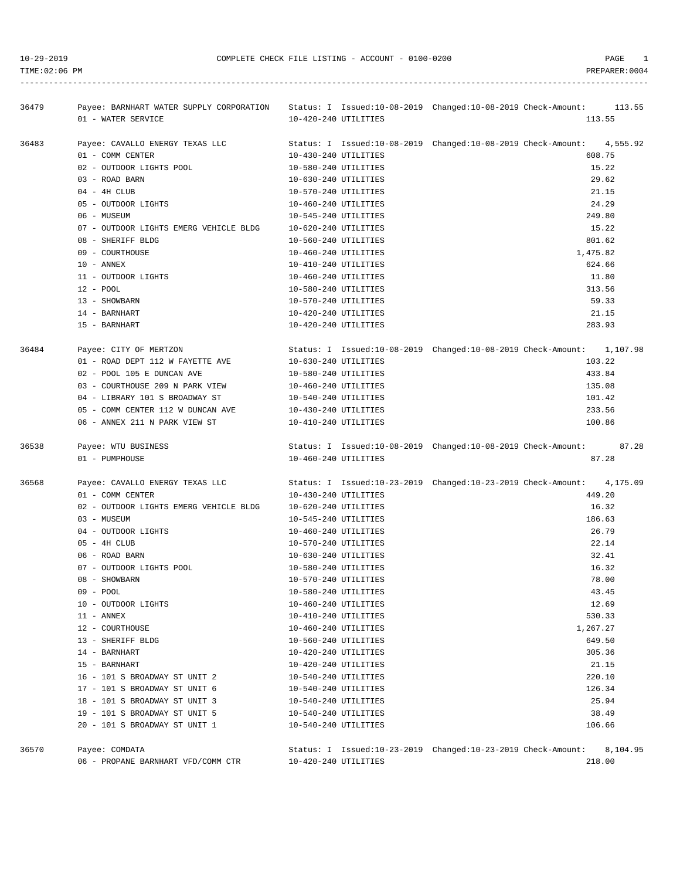TIME:02:06 PM PREPARER:0004 -----------------------------------------------------------------------------------------------------------------------------------

| 36479 | Payee: BARNHART WATER SUPPLY CORPORATION Status: I Issued:10-08-2019 Changed:10-08-2019 Check-Amount: 113.55 |                      |                                                                       |        |
|-------|--------------------------------------------------------------------------------------------------------------|----------------------|-----------------------------------------------------------------------|--------|
|       | 01 - WATER SERVICE                                                                                           | 10-420-240 UTILITIES |                                                                       | 113.55 |
| 36483 | Payee: CAVALLO ENERGY TEXAS LLC                                                                              |                      | Status: I Issued:10-08-2019 Changed:10-08-2019 Check-Amount: 4,555.92 |        |
|       | 01 - COMM CENTER                                                                                             | 10-430-240 UTILITIES | 608.75                                                                |        |
|       | 02 - OUTDOOR LIGHTS POOL                                                                                     | 10-580-240 UTILITIES | 15.22                                                                 |        |
|       | 03 - ROAD BARN                                                                                               | 10-630-240 UTILITIES | 29.62                                                                 |        |
|       | $04 - 4H$ CLUB                                                                                               | 10-570-240 UTILITIES |                                                                       | 21.15  |
|       | 05 - OUTDOOR LIGHTS                                                                                          | 10-460-240 UTILITIES |                                                                       | 24.29  |
|       | 06 - MUSEUM                                                                                                  | 10-545-240 UTILITIES |                                                                       | 249.80 |
|       | 07 - OUTDOOR LIGHTS EMERG VEHICLE BLDG                                                                       | 10-620-240 UTILITIES |                                                                       | 15.22  |
|       | 08 - SHERIFF BLDG                                                                                            | 10-560-240 UTILITIES |                                                                       | 801.62 |
|       | 09 - COURTHOUSE                                                                                              | 10-460-240 UTILITIES | 1,475.82                                                              |        |
|       |                                                                                                              |                      |                                                                       | 624.66 |
|       | 10 - ANNEX                                                                                                   | 10-410-240 UTILITIES |                                                                       |        |
|       | 11 - OUTDOOR LIGHTS                                                                                          | 10-460-240 UTILITIES |                                                                       | 11.80  |
|       | 12 - POOL                                                                                                    | 10-580-240 UTILITIES |                                                                       | 313.56 |
|       | 13 - SHOWBARN                                                                                                | 10-570-240 UTILITIES |                                                                       | 59.33  |
|       | 14 - BARNHART                                                                                                | 10-420-240 UTILITIES |                                                                       | 21.15  |
|       | 15 - BARNHART                                                                                                | 10-420-240 UTILITIES |                                                                       | 283.93 |
| 36484 | Payee: CITY OF MERTZON                                                                                       |                      | Status: I Issued:10-08-2019 Changed:10-08-2019 Check-Amount: 1,107.98 |        |
|       | 01 - ROAD DEPT 112 W FAYETTE AVE                                                                             | 10-630-240 UTILITIES | 103.22                                                                |        |
|       | 02 - POOL 105 E DUNCAN AVE                                                                                   | 10-580-240 UTILITIES | 433.84                                                                |        |
|       | 03 - COURTHOUSE 209 N PARK VIEW                                                                              | 10-460-240 UTILITIES | 135.08                                                                |        |
|       | 04 - LIBRARY 101 S BROADWAY ST                                                                               | 10-540-240 UTILITIES |                                                                       | 101.42 |
|       | 05 - COMM CENTER 112 W DUNCAN AVE $10-430-240$ UTILITIES                                                     |                      |                                                                       | 233.56 |
|       | 06 - ANNEX 211 N PARK VIEW ST                                                                                | 10-410-240 UTILITIES |                                                                       | 100.86 |
| 36538 | Payee: WTU BUSINESS                                                                                          |                      | Status: I Issued:10-08-2019 Changed:10-08-2019 Check-Amount: 87.28    |        |
|       | 01 - PUMPHOUSE                                                                                               | 10-460-240 UTILITIES |                                                                       | 87.28  |
|       |                                                                                                              |                      |                                                                       |        |
| 36568 | Payee: CAVALLO ENERGY TEXAS LLC Status: I Issued:10-23-2019 Changed:10-23-2019 Check-Amount: 4,175.09        |                      |                                                                       |        |
|       | 01 - COMM CENTER                                                                                             | 10-430-240 UTILITIES |                                                                       | 449.20 |
|       | 02 - OUTDOOR LIGHTS EMERG VEHICLE BLDG                                                                       | 10-620-240 UTILITIES |                                                                       | 16.32  |
|       | 03 - MUSEUM                                                                                                  | 10-545-240 UTILITIES | 186.63                                                                |        |
|       | 04 - OUTDOOR LIGHTS                                                                                          | 10-460-240 UTILITIES | 26.79                                                                 |        |
|       | $05 - 4H$ CLUB                                                                                               | 10-570-240 UTILITIES | 22.14                                                                 |        |
|       | 06 - ROAD BARN                                                                                               | 10-630-240 UTILITIES | 32.41                                                                 |        |
|       | 07 - OUTDOOR LIGHTS POOL                                                                                     | 10-580-240 UTILITIES | 16.32                                                                 |        |
|       | 08 - SHOWBARN                                                                                                | 10-570-240 UTILITIES | 78.00                                                                 |        |
|       | 09 - POOL                                                                                                    | 10-580-240 UTILITIES | 43.45                                                                 |        |
|       | 10 - OUTDOOR LIGHTS                                                                                          | 10-460-240 UTILITIES | 12.69                                                                 |        |
|       | 11 - ANNEX                                                                                                   | 10-410-240 UTILITIES | 530.33                                                                |        |
|       | 12 - COURTHOUSE                                                                                              | 10-460-240 UTILITIES | 1,267.27                                                              |        |
|       | 13 - SHERIFF BLDG                                                                                            | 10-560-240 UTILITIES | 649.50                                                                |        |
|       | 14 - BARNHART                                                                                                | 10-420-240 UTILITIES | 305.36                                                                |        |
|       | 15 - BARNHART                                                                                                | 10-420-240 UTILITIES | 21.15                                                                 |        |
|       | 16 - 101 S BROADWAY ST UNIT 2                                                                                | 10-540-240 UTILITIES | 220.10                                                                |        |
|       |                                                                                                              |                      |                                                                       |        |
|       | 17 - 101 S BROADWAY ST UNIT 6                                                                                | 10-540-240 UTILITIES | 126.34                                                                |        |
|       | 18 - 101 S BROADWAY ST UNIT 3                                                                                | 10-540-240 UTILITIES | 25.94<br>38.49                                                        |        |
|       | 19 - 101 S BROADWAY ST UNIT 5                                                                                | 10-540-240 UTILITIES |                                                                       |        |
|       | 20 - 101 S BROADWAY ST UNIT 1                                                                                | 10-540-240 UTILITIES |                                                                       | 106.66 |
| 36570 | Payee: COMDATA                                                                                               |                      | Status: I Issued:10-23-2019 Changed:10-23-2019 Check-Amount: 8,104.95 |        |

06 - PROPANE BARNHART VFD/COMM CTR 10-420-240 UTILITIES 218.00